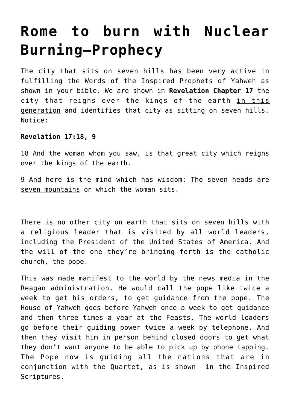# **[Rome to burn with Nuclear](https://yahwehsbranch.com/rome-to-burn-with-nuclear-burning-prophecy/) [Burning—Prophecy](https://yahwehsbranch.com/rome-to-burn-with-nuclear-burning-prophecy/)**

The city that sits on seven hills has been very active in fulfilling the Words of the Inspired Prophets of Yahweh as shown in your bible. We are shown in **Revelation Chapter 17** the city that reigns over the kings of the earth in this generation and identifies that city as sitting on seven hills. Notice:

## **Revelation 17:18, 9**

18 And the woman whom you saw, is that great city which reigns over the kings of the earth.

9 And here is the mind which has wisdom: The seven heads are seven mountains on which the woman sits.

There is no other city on earth that sits on seven hills with a religious leader that is visited by all world leaders, including the President of the United States of America. And the will of the one they're bringing forth is the catholic church, the pope.

This was made manifest to the world by the news media in the Reagan administration. He would call the pope like twice a week to get his orders, to get guidance from the pope. The House of Yahweh goes before Yahweh once a week to get guidance and then three times a year at the Feasts. The world leaders go before their guiding power twice a week by telephone. And then they visit him in person behind closed doors to get what they don't want anyone to be able to pick up by phone tapping. The Pope now is guiding all the nations that are in conjunction with the Quartet, as is shown in the Inspired Scriptures.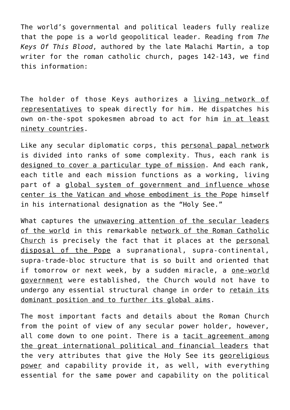The world's governmental and political leaders fully realize that the pope is a world geopolitical leader. Reading from *The Keys Of This Blood*, authored by the late Malachi Martin, a top writer for the roman catholic church, pages 142-143, we find this information:

The holder of those Keys authorizes a living network of representatives to speak directly for him. He dispatches his own on-the-spot spokesmen abroad to act for him in at least ninety countries.

Like any secular diplomatic corps, this personal papal network is divided into ranks of some complexity. Thus, each rank is designed to cover a particular type of mission. And each rank, each title and each mission functions as a working, living part of a global system of government and influence whose center is the Vatican and whose embodiment is the Pope himself in his international designation as the "Holy See."

What captures the unwavering attention of the secular leaders of the world in this remarkable network of the Roman Catholic Church is precisely the fact that it places at the personal disposal of the Pope a supranational, supra-continental, supra-trade-bloc structure that is so built and oriented that if tomorrow or next week, by a sudden miracle, a one-world government were established, the Church would not have to undergo any essential structural change in order to retain its dominant position and to further its global aims.

The most important facts and details about the Roman Church from the point of view of any secular power holder, however, all come down to one point. There is a tacit agreement among the great international political and financial leaders that the very attributes that give the Holy See its georeligious power and capability provide it, as well, with everything essential for the same power and capability on the political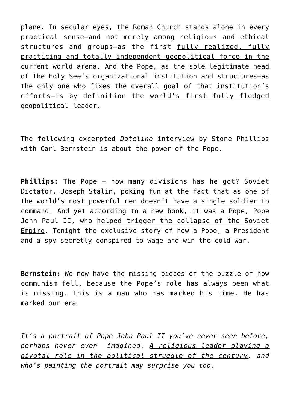plane. In secular eyes, the Roman Church stands alone in every practical sense—and not merely among religious and ethical structures and groups—as the first fully realized, fully practicing and totally independent geopolitical force in the current world arena. And the Pope, as the sole legitimate head of the Holy See's organizational institution and structures—as the only one who fixes the overall goal of that institution's efforts—is by definition the world's first fully fledged geopolitical leader.

The following excerpted *Dateline* interview by Stone Phillips with Carl Bernstein is about the power of the Pope.

**Phillips:** The Pope – how many divisions has he got? Soviet Dictator, Joseph Stalin, poking fun at the fact that as one of the world's most powerful men doesn't have a single soldier to command. And yet according to a new book, it was a Pope, Pope John Paul II, who helped trigger the collapse of the Soviet Empire. Tonight the exclusive story of how a Pope, a President and a spy secretly conspired to wage and win the cold war.

**Bernstein:** We now have the missing pieces of the puzzle of how communism fell, because the Pope's role has always been what is missing. This is a man who has marked his time. He has marked our era.

*It's a portrait of Pope John Paul II you've never seen before, perhaps never even imagined. A religious leader playing a pivotal role in the political struggle of the century, and who's painting the portrait may surprise you too.*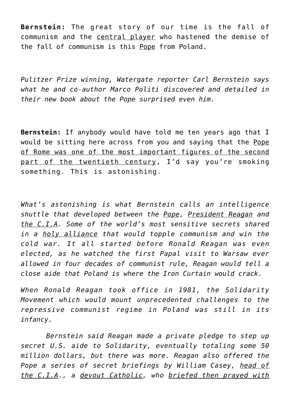**Bernstein:** The great story of our time is the fall of communism and the central player who hastened the demise of the fall of communism is this Pope from Poland.

*Pulitzer Prize winning, Watergate reporter Carl Bernstein says what he and co-author Marco Politi discovered and detailed in their new book about the Pope surprised even him.*

**Bernstein:** If anybody would have told me ten years ago that I would be sitting here across from you and saying that the Pope of Rome was one of the most important figures of the second part of the twentieth century, I'd say you're smoking something. This is astonishing.

*What's astonishing is what Bernstein calls an intelligence shuttle that developed between the Pope, President Reagan and the C.I.A. Some of the world's most sensitive secrets shared in a holy alliance that would topple communism and win the cold war. It all started before Ronald Reagan was even elected, as he watched the first Papal visit to Warsaw ever allowed in four decades of communist rule, Reagan would tell a close aide that Poland is where the Iron Curtain would crack.*

*When Ronald Reagan took office in 1981, the Solidarity Movement which would mount unprecedented challenges to the repressive communist regime in Poland was still in its infancy.*

 *Bernstein said Reagan made a private pledge to step up secret U.S. aide to Solidarity, eventually totaling some 50 million dollars, but there was more. Reagan also offered the Pope a series of secret briefings by William Casey, head of the C.I.A., a devout Catholic, who briefed then prayed with*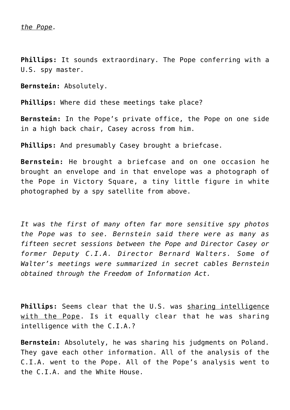**Phillips:** It sounds extraordinary. The Pope conferring with a U.S. spy master.

**Bernstein:** Absolutely.

**Phillips:** Where did these meetings take place?

**Bernstein:** In the Pope's private office, the Pope on one side in a high back chair, Casey across from him.

**Phillips:** And presumably Casey brought a briefcase.

**Bernstein:** He brought a briefcase and on one occasion he brought an envelope and in that envelope was a photograph of the Pope in Victory Square, a tiny little figure in white photographed by a spy satellite from above.

*It was the first of many often far more sensitive spy photos the Pope was to see. Bernstein said there were as many as fifteen secret sessions between the Pope and Director Casey or former Deputy C.I.A. Director Bernard Walters. Some of Walter's meetings were summarized in secret cables Bernstein obtained through the Freedom of Information Act.*

**Phillips:** Seems clear that the U.S. was sharing intelligence with the Pope. Is it equally clear that he was sharing intelligence with the C.I.A.?

**Bernstein:** Absolutely, he was sharing his judgments on Poland. They gave each other information. All of the analysis of the C.I.A. went to the Pope. All of the Pope's analysis went to the C.I.A. and the White House.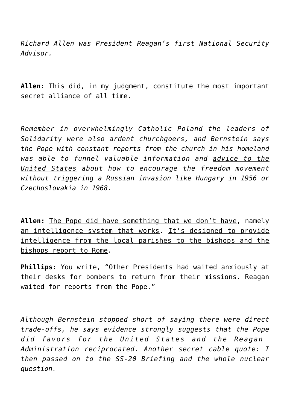*Richard Allen was President Reagan's first National Security Advisor.*

**Allen:** This did, in my judgment, constitute the most important secret alliance of all time.

*Remember in overwhelmingly Catholic Poland the leaders of Solidarity were also ardent churchgoers, and Bernstein says the Pope with constant reports from the church in his homeland was able to funnel valuable information and advice to the United States about how to encourage the freedom movement without triggering a Russian invasion like Hungary in 1956 or Czechoslovakia in 1968.*

**Allen:** The Pope did have something that we don't have, namely an intelligence system that works. It's designed to provide intelligence from the local parishes to the bishops and the bishops report to Rome.

**Phillips:** You write, "Other Presidents had waited anxiously at their desks for bombers to return from their missions. Reagan waited for reports from the Pope."

*Although Bernstein stopped short of saying there were direct trade-offs, he says evidence strongly suggests that the Pope did favors for the United States and the Reagan Administration reciprocated. Another secret cable quote: I then passed on to the SS-20 Briefing and the whole nuclear question.*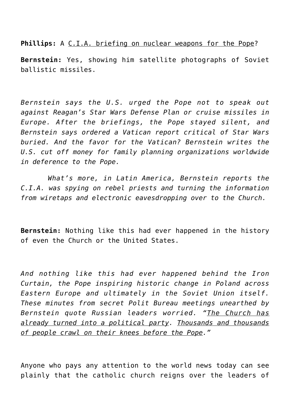**Phillips:** A C.I.A. briefing on nuclear weapons for the Pope?

**Bernstein:** Yes, showing him satellite photographs of Soviet ballistic missiles.

*Bernstein says the U.S. urged the Pope not to speak out against Reagan's Star Wars Defense Plan or cruise missiles in Europe. After the briefings, the Pope stayed silent, and Bernstein says ordered a Vatican report critical of Star Wars buried. And the favor for the Vatican? Bernstein writes the U.S. cut off money for family planning organizations worldwide in deference to the Pope.*

 *What's more, in Latin America, Bernstein reports the C.I.A. was spying on rebel priests and turning the information from wiretaps and electronic eavesdropping over to the Church.*

**Bernstein:** Nothing like this had ever happened in the history of even the Church or the United States.

*And nothing like this had ever happened behind the Iron Curtain, the Pope inspiring historic change in Poland across Eastern Europe and ultimately in the Soviet Union itself. These minutes from secret Polit Bureau meetings unearthed by Bernstein quote Russian leaders worried. "The Church has already turned into a political party. Thousands and thousands of people crawl on their knees before the Pope."*

Anyone who pays any attention to the world news today can see plainly that the catholic church reigns over the leaders of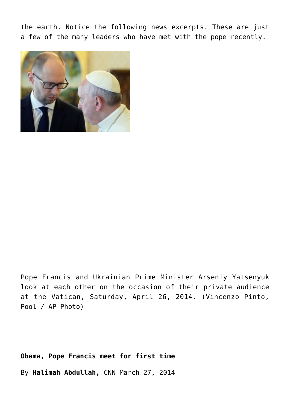the earth. Notice the following news excerpts. These are just a few of the many leaders who have met with the pope recently.



Pope Francis and Ukrainian Prime Minister Arseniy Yatsenyuk look at each other on the occasion of their private audience at the Vatican, Saturday, April 26, 2014. (Vincenzo Pinto, Pool / AP Photo)

**Obama, Pope Francis meet for first time**

By **Halimah Abdullah,** CNN March 27, 2014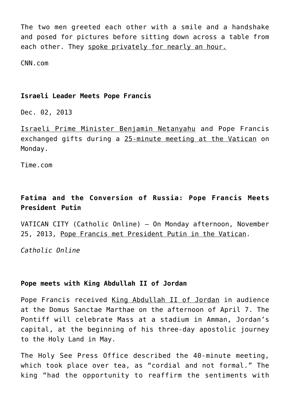The two men greeted each other with a smile and a handshake and posed for pictures before sitting down across a table from each other. They spoke privately for nearly an hour.

CNN.com

## **Israeli Leader Meets Pope Francis**

Dec. 02, 2013

Israeli Prime Minister Benjamin Netanyahu and Pope Francis exchanged gifts during a 25-minute meeting at the Vatican on Monday.

Time.com

# **Fatima and the Conversion of Russia: Pope Francis Meets President Putin**

VATICAN CITY (Catholic Online) – On Monday afternoon, November 25, 2013, Pope Francis met President Putin in the Vatican.

*Catholic Online*

# **Pope meets with King Abdullah II of Jordan**

Pope Francis received King Abdullah II of Jordan in audience at the Domus Sanctae Marthae on the afternoon of April 7. The Pontiff will celebrate Mass at a stadium in Amman, Jordan's capital, at the beginning of his three-day apostolic journey to the Holy Land in May.

The Holy See Press Office described the 40-minute meeting, which took place over tea, as "cordial and not formal." The king "had the opportunity to reaffirm the sentiments with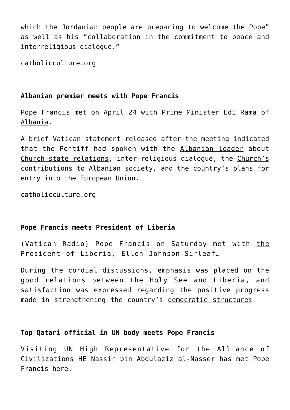which the Jordanian people are preparing to welcome the Pope" as well as his "collaboration in the commitment to peace and interreligious dialogue."

catholicculture.org

# **Albanian premier meets with Pope Francis**

Pope Francis met on April 24 with Prime Minister Edi Rama of Albania.

A brief Vatican statement released after the meeting indicated that the Pontiff had spoken with the Albanian leader about Church-state relations, inter-religious dialogue, the Church's contributions to Albanian society, and the country's plans for entry into the European Union.

catholicculture.org

# **Pope Francis meets President of Liberia**

(Vatican Radio) Pope Francis on Saturday met with the President of Liberia, Ellen Johnson-Sirleaf…

During the cordial discussions, emphasis was placed on the good relations between the Holy See and Liberia, and satisfaction was expressed regarding the positive progress made in strengthening the country's democratic structures.

# **Top Qatari official in UN body meets Pope Francis**

Visiting UN High Representative for the Alliance of Civilizations HE Nassir bin Abdulaziz al-Nasser has met Pope Francis here.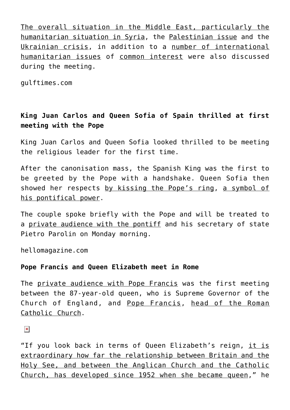The overall situation in the Middle East, particularly the humanitarian situation in Syria, the Palestinian issue and the Ukrainian crisis, in addition to a number of international humanitarian issues of common interest were also discussed during the meeting.

gulftimes.com

# **King Juan Carlos and Queen Sofia of Spain thrilled at first meeting with the Pope**

King Juan Carlos and Queen Sofia looked thrilled to be meeting the religious leader for the first time.

After the canonisation mass, the Spanish King was the first to be greeted by the Pope with a handshake. Queen Sofia then showed her respects by kissing the Pope's ring, a symbol of his pontifical power.

The couple spoke briefly with the Pope and will be treated to a private audience with the pontiff and his secretary of state Pietro Parolin on Monday morning.

hellomagazine.com

# **Pope Francis and Queen Elizabeth meet in Rome**

The private audience with Pope Francis was the first meeting between the 87-year-old queen, who is Supreme Governor of the Church of England, and Pope Francis, head of the Roman Catholic Church.

 $\pmb{\times}$ 

"If you look back in terms of Queen Elizabeth's reign, it is extraordinary how far the relationship between Britain and the Holy See, and between the Anglican Church and the Catholic Church, has developed since 1952 when she became queen," he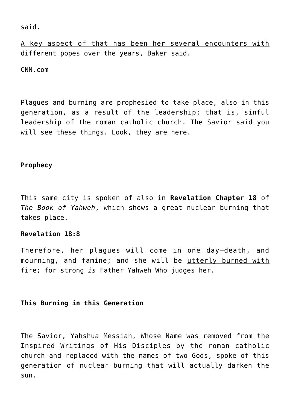said.

A key aspect of that has been her several encounters with different popes over the years, Baker said.

CNN.com

Plagues and burning are prophesied to take place, also in this generation, as a result of the leadership; that is, sinful leadership of the roman catholic church. The Savior said you will see these things. Look, they are here.

# **Prophecy**

This same city is spoken of also in **Revelation Chapter 18** of *The Book of Yahweh*, which shows a great nuclear burning that takes place.

# **Revelation 18:8**

Therefore, her plagues will come in one day—death, and mourning, and famine; and she will be utterly burned with fire; for strong *is* Father Yahweh Who judges her.

# **This Burning in this Generation**

The Savior, Yahshua Messiah, Whose Name was removed from the Inspired Writings of His Disciples by the roman catholic church and replaced with the names of two Gods, spoke of this generation of nuclear burning that will actually darken the sun.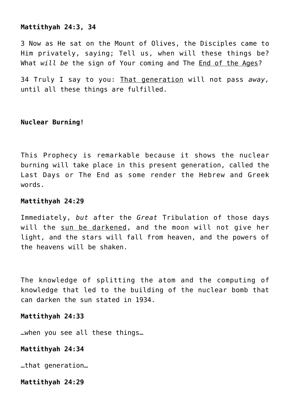## **Mattithyah 24:3, 34**

3 Now as He sat on the Mount of Olives, the Disciples came to Him privately, saying; Tell us, when will these things be? What *will be* the sign of Your coming and The End of the Ages?

34 Truly I say to you: That generation will not pass *away,* until all these things are fulfilled.

## **Nuclear Burning!**

This Prophecy is remarkable because it shows the nuclear burning will take place in this present generation, called the Last Days or The End as some render the Hebrew and Greek words.

## **Mattithyah 24:29**

Immediately, *but* after the *Great* Tribulation of those days will the sun be darkened, and the moon will not give her light, and the stars will fall from heaven, and the powers of the heavens will be shaken.

The knowledge of splitting the atom and the computing of knowledge that led to the building of the nuclear bomb that can darken the sun stated in 1934.

## **Mattithyah 24:33**

…when you see all these things…

# **Mattithyah 24:34**

…that generation…

#### **Mattithyah 24:29**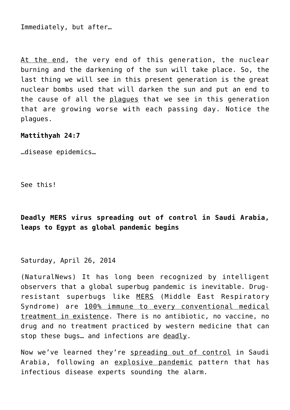Immediately, but after…

At the end, the very end of this generation, the nuclear burning and the darkening of the sun will take place. So, the last thing we will see in this present generation is the great nuclear bombs used that will darken the sun and put an end to the cause of all the plagues that we see in this generation that are growing worse with each passing day. Notice the plagues.

## **Mattithyah 24:7**

…disease epidemics…

See this!

**Deadly MERS virus spreading out of control in Saudi Arabia, leaps to Egypt as global pandemic begins**

Saturday, April 26, 2014

(NaturalNews) It has long been recognized by intelligent observers that a global superbug pandemic is inevitable. Drugresistant superbugs like MERS (Middle East Respiratory Syndrome) are 100% immune to every conventional medical treatment in existence. There is no antibiotic, no vaccine, no drug and no treatment practiced by western medicine that can stop these bugs... and infections are deadly.

Now we've learned they're spreading out of control in Saudi Arabia, following an explosive pandemic pattern that has infectious disease experts sounding the alarm.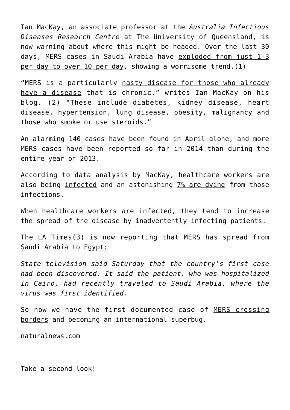Ian MacKay, an associate professor at the *Australia Infectious Diseases Research Centre* at The University of Queensland, is now warning about where this might be headed. Over the last 30 days, MERS cases in Saudi Arabia have exploded from just 1-3 per day to over 10 per day, showing a worrisome trend.(1)

"MERS is a particularly nasty disease for those who already have a disease that is chronic," writes Ian MacKay on his blog. (2) "These include diabetes, kidney disease, heart disease, hypertension, lung disease, obesity, malignancy and those who smoke or use steroids."

An alarming 140 cases have been found in April alone, and more MERS cases have been reported so far in 2014 than during the entire year of 2013.

According to data analysis by MacKay, healthcare workers are also being infected and an astonishing 7% are dying from those infections.

When healthcare workers are infected, they tend to increase the spread of the disease by inadvertently infecting patients.

The LA Times(3) is now reporting that MERS has spread from Saudi Arabia to Egypt:

*State television said Saturday that the country's first case had been discovered. It said the patient, who was hospitalized in Cairo, had recently traveled to Saudi Arabia, where the virus was first identified.*

So now we have the first documented case of MERS crossing borders and becoming an international superbug.

naturalnews.com

Take a second look!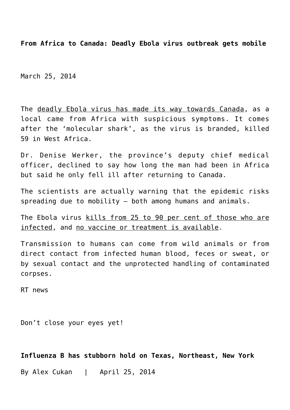**From Africa to Canada: Deadly Ebola virus outbreak gets mobile**

March 25, 2014

The deadly Ebola virus has made its way towards Canada, as a local came from Africa with suspicious symptoms. It comes after the 'molecular shark', as the virus is branded, killed 59 in West Africa.

Dr. Denise Werker, the province's deputy chief medical officer, declined to say how long the man had been in Africa but said he only fell ill after returning to Canada.

The scientists are actually warning that the epidemic risks spreading due to mobility – both among humans and animals.

The Ebola virus kills from 25 to 90 per cent of those who are infected, and no vaccine or treatment is available.

Transmission to humans can come from wild animals or from direct contact from infected human blood, feces or sweat, or by sexual contact and the unprotected handling of contaminated corpses.

RT news

Don't close your eyes yet!

**Influenza B has stubborn hold on Texas, Northeast, New York**

By Alex Cukan | April 25, 2014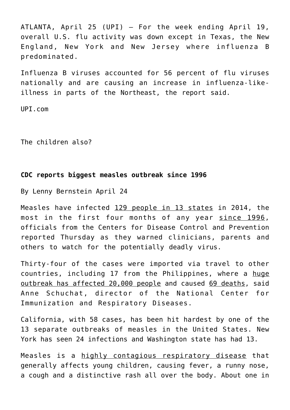ATLANTA, April 25 (UPI) — For the week ending April 19, overall U.S. flu activity was down except in Texas, the New England, New York and New Jersey where influenza B predominated.

Influenza B viruses accounted for 56 percent of flu viruses nationally and are causing an increase in influenza-likeillness in parts of the Northeast, the report said.

UPI.com

The children also?

## **CDC reports biggest measles outbreak since 1996**

By Lenny Bernstein April 24

Measles have infected 129 people in 13 states in 2014, the most in the first four months of any year since 1996, officials from the Centers for Disease Control and Prevention reported Thursday as they warned clinicians, parents and others to watch for the potentially deadly virus.

Thirty-four of the cases were imported via travel to other countries, including 17 from the Philippines, where a huge outbreak has affected 20,000 people and caused 69 deaths, said Anne Schuchat, director of the National Center for Immunization and Respiratory Diseases.

California, with 58 cases, has been hit hardest by one of the 13 separate outbreaks of measles in the United States. New York has seen 24 infections and Washington state has had 13.

Measles is a highly contagious respiratory disease that generally affects young children, causing fever, a runny nose, a cough and a distinctive rash all over the body. About one in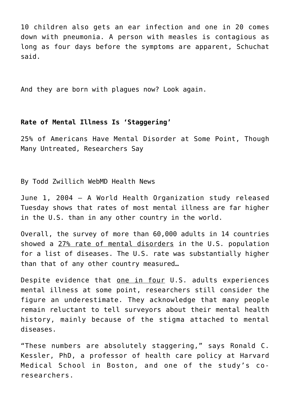10 children also gets an ear infection and one in 20 comes down with pneumonia. A person with measles is contagious as long as four days before the symptoms are apparent, Schuchat said.

And they are born with plagues now? Look again.

## **Rate of Mental Illness Is 'Staggering'**

25% of Americans Have Mental Disorder at Some Point, Though Many Untreated, Researchers Say

By Todd Zwillich WebMD Health News

June 1, 2004 — A World Health Organization study released Tuesday shows that rates of most mental illness are far higher in the U.S. than in any other country in the world.

Overall, the survey of more than 60,000 adults in 14 countries showed a 27% rate of mental disorders in the U.S. population for a list of diseases. The U.S. rate was substantially higher than that of any other country measured…

Despite evidence that one in four U.S. adults experiences mental illness at some point, researchers still consider the figure an underestimate. They acknowledge that many people remain reluctant to tell surveyors about their mental health history, mainly because of the stigma attached to mental diseases.

"These numbers are absolutely staggering," says Ronald C. Kessler, PhD, a professor of health care policy at Harvard Medical School in Boston, and one of the study's coresearchers.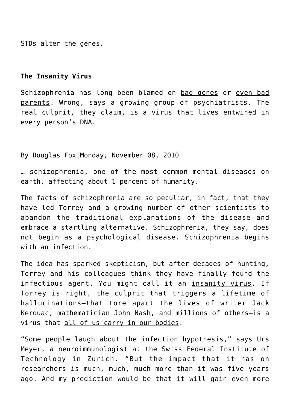STDs alter the genes.

## **The Insanity Virus**

Schizophrenia has long been blamed on bad genes or even bad parents. Wrong, says a growing group of psychiatrists. The real culprit, they claim, is a virus that lives entwined in every person's DNA.

By Douglas Fox|Monday, November 08, 2010

… schizophrenia, one of the most common mental diseases on earth, affecting about 1 percent of humanity.

The facts of schizophrenia are so peculiar, in fact, that they have led Torrey and a growing number of other scientists to abandon the traditional explanations of the disease and embrace a startling alternative. Schizophrenia, they say, does not begin as a psychological disease. Schizophrenia begins with an infection.

The idea has sparked skepticism, but after decades of hunting, Torrey and his colleagues think they have finally found the infectious agent. You might call it an insanity virus. If Torrey is right, the culprit that triggers a lifetime of hallucinations—that tore apart the lives of writer Jack Kerouac, mathematician John Nash, and millions of others—is a virus that all of us carry in our bodies.

"Some people laugh about the infection hypothesis," says Urs Meyer, a neuroimmunologist at the Swiss Federal Institute of Technology in Zurich. "But the impact that it has on researchers is much, much, much more than it was five years ago. And my prediction would be that it will gain even more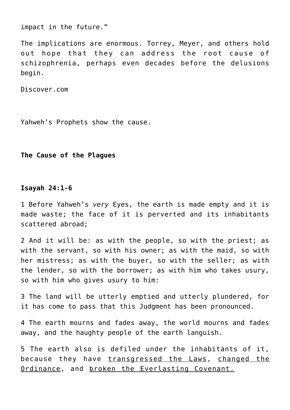impact in the future."

The implications are enormous. Torrey, Meyer, and others hold out hope that they can address the root cause of schizophrenia, perhaps even decades before the delusions begin.

Discover.com

Yahweh's Prophets show the cause.

## **The Cause of the Plagues**

#### **Isayah 24:1-6**

1 Before Yahweh's *very* Eyes, the earth is made empty and it is made waste; the face of it is perverted and its inhabitants scattered abroad;

2 And it will be: as with the people, so with the priest; as with the servant, so with his owner; as with the maid, so with her mistress; as with the buyer, so with the seller; as with the lender, so with the borrower; as with him who takes usury, so with him who gives usury to him:

3 The land will be utterly emptied and utterly plundered, for it has come to pass that this Judgment has been pronounced.

4 The earth mourns and fades away, the world mourns and fades away, and the haughty people of the earth languish.

5 The earth also is defiled under the inhabitants of it, because they have transgressed the Laws, changed the Ordinance, and broken the Everlasting Covenant.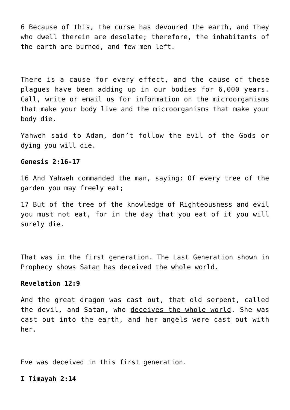6 Because of this, the curse has devoured the earth, and they who dwell therein are desolate; therefore, the inhabitants of the earth are burned, and few men left.

There is a cause for every effect, and the cause of these plagues have been adding up in our bodies for 6,000 years. Call, write or email us for information on the microorganisms that make your body live and the microorganisms that make your body die.

Yahweh said to Adam, don't follow the evil of the Gods or dying you will die.

## **Genesis 2:16-17**

16 And Yahweh commanded the man, saying: Of every tree of the garden you may freely eat;

17 But of the tree of the knowledge of Righteousness and evil you must not eat, for in the day that you eat of it you will surely die.

That was in the first generation. The Last Generation shown in Prophecy shows Satan has deceived the whole world.

## **Revelation 12:9**

And the great dragon was cast out, that old serpent, called the devil, and Satan, who deceives the whole world. She was cast out into the earth, and her angels were cast out with her.

Eve was deceived in this first generation.

#### **I Timayah 2:14**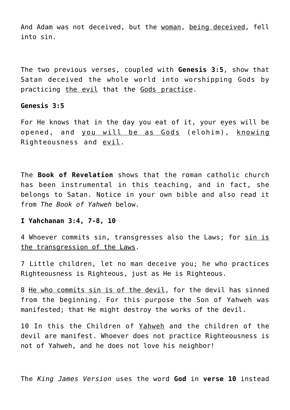And Adam was not deceived, but the woman, being deceived, fell into sin.

The two previous verses, coupled with **Genesis 3:5**, show that Satan deceived the whole world into worshipping Gods by practicing the evil that the Gods practice.

# **Genesis 3:5**

For He knows that in the day you eat of it, your eyes will be opened, and you will be as Gods (elohim), knowing Righteousness and evil.

The **Book of Revelation** shows that the roman catholic church has been instrumental in this teaching, and in fact, she belongs to Satan. Notice in your own bible and also read it from *The Book of Yahweh* below.

#### **I Yahchanan 3:4, 7-8, 10**

4 Whoever commits sin, transgresses also the Laws; for sin is the transgression of the Laws.

7 Little children, let no man deceive you; he who practices Righteousness is Righteous, just as He is Righteous.

8 He who commits sin is of the devil, for the devil has sinned from the beginning. For this purpose the Son of Yahweh was manifested; that He might destroy the works of the devil.

10 In this the Children of Yahweh and the children of the devil are manifest. Whoever does not practice Righteousness is not of Yahweh, and he does not love his neighbor!

The *King James Version* uses the word **God** in **verse 10** instead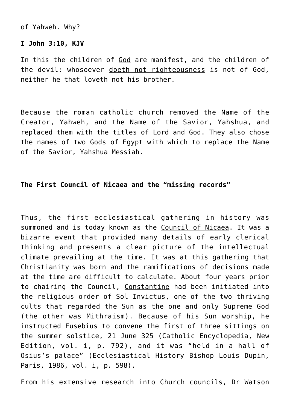of Yahweh. Why?

# **I John 3:10, KJV**

In this the children of God are manifest, and the children of the devil: whosoever doeth not righteousness is not of God, neither he that loveth not his brother.

Because the roman catholic church removed the Name of the Creator, Yahweh, and the Name of the Savior, Yahshua, and replaced them with the titles of Lord and God. They also chose the names of two Gods of Egypt with which to replace the Name of the Savior, Yahshua Messiah.

# **The First Council of Nicaea and the "missing records"**

Thus, the first ecclesiastical gathering in history was summoned and is today known as the Council of Nicaea. It was a bizarre event that provided many details of early clerical thinking and presents a clear picture of the intellectual climate prevailing at the time. It was at this gathering that Christianity was born and the ramifications of decisions made at the time are difficult to calculate. About four years prior to chairing the Council, Constantine had been initiated into the religious order of Sol Invictus, one of the two thriving cults that regarded the Sun as the one and only Supreme God (the other was Mithraism). Because of his Sun worship, he instructed Eusebius to convene the first of three sittings on the summer solstice, 21 June 325 (Catholic Encyclopedia, New Edition, vol. i, p. 792), and it was "held in a hall of Osius's palace" (Ecclesiastical History Bishop Louis Dupin, Paris, 1986, vol. i, p. 598).

From his extensive research into Church councils, Dr Watson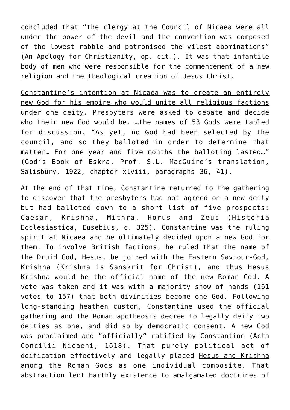concluded that "the clergy at the Council of Nicaea were all under the power of the devil and the convention was composed of the lowest rabble and patronised the vilest abominations" (An Apology for Christianity, op. cit.). It was that infantile body of men who were responsible for the commencement of a new religion and the theological creation of Jesus Christ.

Constantine's intention at Nicaea was to create an entirely new God for his empire who would unite all religious factions under one deity. Presbyters were asked to debate and decide who their new God would be. …the names of 53 Gods were tabled for discussion. "As yet, no God had been selected by the council, and so they balloted in order to determine that matter… For one year and five months the balloting lasted…" (God's Book of Eskra, Prof. S.L. MacGuire's translation, Salisbury, 1922, chapter xlviii, paragraphs 36, 41).

At the end of that time, Constantine returned to the gathering to discover that the presbyters had not agreed on a new deity but had balloted down to a short list of five prospects: Caesar, Krishna, Mithra, Horus and Zeus (Historia Ecclesiastica, Eusebius, c. 325). Constantine was the ruling spirit at Nicaea and he ultimately decided upon a new God for them. To involve British factions, he ruled that the name of the Druid God, Hesus, be joined with the Eastern Saviour-God, Krishna (Krishna is Sanskrit for Christ), and thus Hesus Krishna would be the official name of the new Roman God. A vote was taken and it was with a majority show of hands (161 votes to 157) that both divinities become one God. Following long-standing heathen custom, Constantine used the official gathering and the Roman apotheosis decree to legally deify two deities as one, and did so by democratic consent. A new God was proclaimed and "officially" ratified by Constantine (Acta Concilii Nicaeni, 1618). That purely political act of deification effectively and legally placed Hesus and Krishna among the Roman Gods as one individual composite. That abstraction lent Earthly existence to amalgamated doctrines of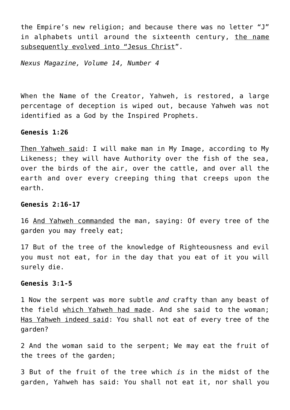the Empire's new religion; and because there was no letter "J" in alphabets until around the sixteenth century, the name subsequently evolved into "Jesus Christ".

*Nexus Magazine, Volume 14, Number 4*

When the Name of the Creator, Yahweh, is restored, a large percentage of deception is wiped out, because Yahweh was not identified as a God by the Inspired Prophets.

## **Genesis 1:26**

Then Yahweh said: I will make man in My Image, according to My Likeness; they will have Authority over the fish of the sea, over the birds of the air, over the cattle, and over all the earth and over every creeping thing that creeps upon the earth.

#### **Genesis 2:16-17**

16 And Yahweh commanded the man, saying: Of every tree of the garden you may freely eat;

17 But of the tree of the knowledge of Righteousness and evil you must not eat, for in the day that you eat of it you will surely die.

## **Genesis 3:1-5**

1 Now the serpent was more subtle *and* crafty than any beast of the field which Yahweh had made. And she said to the woman; Has Yahweh indeed said: You shall not eat of every tree of the garden?

2 And the woman said to the serpent; We may eat the fruit of the trees of the garden;

3 But of the fruit of the tree which *is* in the midst of the garden, Yahweh has said: You shall not eat it, nor shall you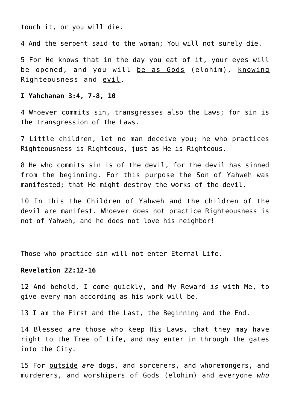touch it, or you will die.

4 And the serpent said to the woman; You will not surely die.

5 For He knows that in the day you eat of it, your eyes will be opened, and you will be as Gods (elohim), knowing Righteousness and evil.

# **I Yahchanan 3:4, 7-8, 10**

4 Whoever commits sin, transgresses also the Laws; for sin is the transgression of the Laws.

7 Little children, let no man deceive you; he who practices Righteousness is Righteous, just as He is Righteous.

8 He who commits sin is of the devil, for the devil has sinned from the beginning. For this purpose the Son of Yahweh was manifested; that He might destroy the works of the devil.

10 In this the Children of Yahweh and the children of the devil are manifest. Whoever does not practice Righteousness is not of Yahweh, and he does not love his neighbor!

Those who practice sin will not enter Eternal Life.

#### **Revelation 22:12-16**

12 And behold, I come quickly, and My Reward *is* with Me, to give every man according as his work will be.

13 I am the First and the Last, the Beginning and the End.

14 Blessed *are* those who keep His Laws, that they may have right to the Tree of Life, and may enter in through the gates into the City.

15 For outside *are* dogs, and sorcerers, and whoremongers, and murderers, and worshipers of Gods (elohim) and everyone *who*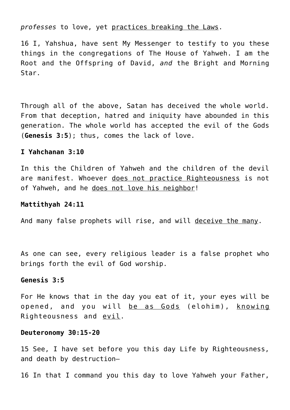## *professes* to love, yet practices breaking the Laws.

16 I, Yahshua, have sent My Messenger to testify to you these things in the congregations of The House of Yahweh. I am the Root and the Offspring of David, *and* the Bright and Morning Star.

Through all of the above, Satan has deceived the whole world. From that deception, hatred and iniquity have abounded in this generation. The whole world has accepted the evil of the Gods (**Genesis 3:5**); thus, comes the lack of love.

## **I Yahchanan 3:10**

In this the Children of Yahweh and the children of the devil are manifest. Whoever does not practice Righteousness is not of Yahweh, and he does not love his neighbor!

## **Mattithyah 24:11**

And many false prophets will rise, and will deceive the many.

As one can see, every religious leader is a false prophet who brings forth the evil of God worship.

## **Genesis 3:5**

For He knows that in the day you eat of it, your eyes will be opened, and you will be as Gods (elohim), knowing Righteousness and evil.

## **Deuteronomy 30:15-20**

15 See, I have set before you this day Life by Righteousness, and death by destruction—

16 In that I command you this day to love Yahweh your Father,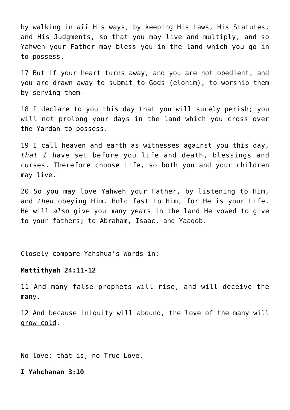by walking in *all* His ways, by keeping His Laws, His Statutes, and His Judgments, so that you may live and multiply, and so Yahweh your Father may bless you in the land which you go in to possess.

17 But if your heart turns away, and you are not obedient, and you are drawn away to submit to Gods (elohim), to worship them by serving them—

18 I declare to you this day that you will surely perish; you will not prolong your days in the land which you cross over the Yardan to possess.

19 I call heaven and earth as witnesses against you this day, *that I* have set before you life and death, blessings and curses. Therefore choose Life, so both you and your children may live.

20 So you may love Yahweh your Father, by listening to Him, and *then* obeying Him. Hold fast to Him, for He is your Life. He will *also* give you many years in the land He vowed to give to your fathers; to Abraham, Isaac, and Yaaqob.

Closely compare Yahshua's Words in:

## **Mattithyah 24:11-12**

11 And many false prophets will rise, and will deceive the many.

12 And because iniquity will abound, the love of the many will grow cold.

No love; that is, no True Love.

**I Yahchanan 3:10**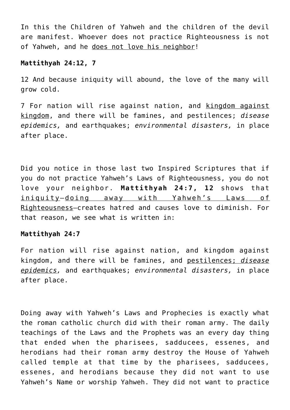In this the Children of Yahweh and the children of the devil are manifest. Whoever does not practice Righteousness is not of Yahweh, and he does not love his neighbor!

# **Mattithyah 24:12, 7**

12 And because iniquity will abound, the love of the many will grow cold.

7 For nation will rise against nation, and kingdom against kingdom, and there will be famines, and pestilences; *disease epidemics,* and earthquakes; *environmental disasters,* in place after place.

Did you notice in those last two Inspired Scriptures that if you do not practice Yahweh's Laws of Righteousness, you do not love your neighbor. **Mattithyah 24:7, 12** shows that iniquity—doing away with Yahweh's Laws of Righteousness–creates hatred and causes love to diminish. For that reason, we see what is written in:

## **Mattithyah 24:7**

For nation will rise against nation, and kingdom against kingdom, and there will be famines, and pestilences; *disease epidemics,* and earthquakes; *environmental disasters,* in place after place.

Doing away with Yahweh's Laws and Prophecies is exactly what the roman catholic church did with their roman army. The daily teachings of the Laws and the Prophets was an every day thing that ended when the pharisees, sadducees, essenes, and herodians had their roman army destroy the House of Yahweh called temple at that time by the pharisees, sadducees, essenes, and herodians because they did not want to use Yahweh's Name or worship Yahweh. They did not want to practice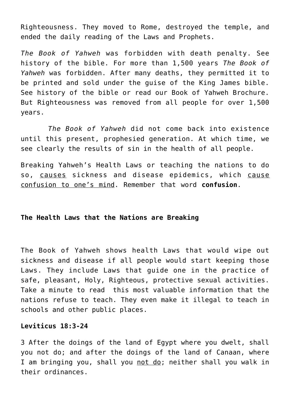Righteousness. They moved to Rome, destroyed the temple, and ended the daily reading of the Laws and Prophets.

*The Book of Yahweh* was forbidden with death penalty. See history of the bible. For more than 1,500 years *The Book of Yahweh* was forbidden. After many deaths, they permitted it to be printed and sold under the guise of the King James bible. See history of the bible or read our Book of Yahweh Brochure. But Righteousness was removed from all people for over 1,500 years.

 *The Book of Yahweh* did not come back into existence until this present, prophesied generation. At which time, we see clearly the results of sin in the health of all people.

Breaking Yahweh's Health Laws or teaching the nations to do so, causes sickness and disease epidemics, which cause confusion to one's mind. Remember that word **confusion**.

# **The Health Laws that the Nations are Breaking**

The Book of Yahweh shows health Laws that would wipe out sickness and disease if all people would start keeping those Laws. They include Laws that guide one in the practice of safe, pleasant, Holy, Righteous, protective sexual activities. Take a minute to read this most valuable information that the nations refuse to teach. They even make it illegal to teach in schools and other public places.

## **Leviticus 18:3-24**

3 After the doings of the land of Egypt where you dwelt, shall you not do; and after the doings of the land of Canaan, where I am bringing you, shall you not do; neither shall you walk in their ordinances.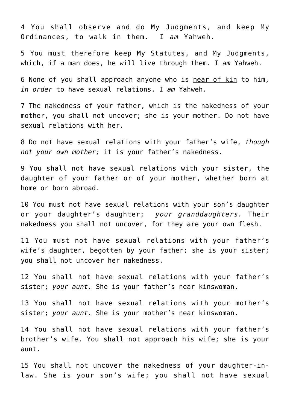4 You shall observe and do My Judgments, and keep My Ordinances, to walk in them. I *am* Yahweh.

5 You must therefore keep My Statutes, and My Judgments, which, if a man does, he will live through them. I *am* Yahweh.

6 None of you shall approach anyone who is near of kin to him, *in order* to have sexual relations. I *am* Yahweh.

7 The nakedness of your father, which is the nakedness of your mother, you shall not uncover; she is your mother. Do not have sexual relations with her.

8 Do not have sexual relations with your father's wife, *though not your own mother;* it is your father's nakedness.

9 You shall not have sexual relations with your sister, the daughter of your father or of your mother, whether born at home or born abroad.

10 You must not have sexual relations with your son's daughter or your daughter's daughter; *your granddaughters.* Their nakedness you shall not uncover, for they are your own flesh.

11 You must not have sexual relations with your father's wife's daughter, begotten by your father; she is your sister; you shall not uncover her nakedness.

12 You shall not have sexual relations with your father's sister; *your aunt.* She is your father's near kinswoman.

13 You shall not have sexual relations with your mother's sister; *your aunt.* She is your mother's near kinswoman.

14 You shall not have sexual relations with your father's brother's wife. You shall not approach his wife; she is your aunt.

15 You shall not uncover the nakedness of your daughter-inlaw. She is your son's wife; you shall not have sexual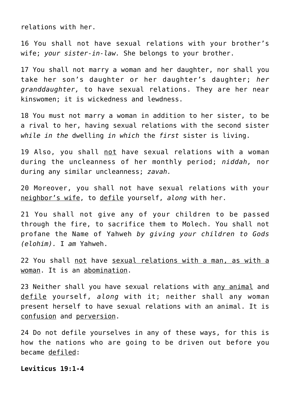relations with her.

16 You shall not have sexual relations with your brother's wife; *your sister-in-law.* She belongs to your brother.

17 You shall not marry a woman and her daughter, nor shall you take her son's daughter or her daughter's daughter; *her granddaughter,* to have sexual relations. They are her near kinswomen; it is wickedness and lewdness.

18 You must not marry a woman in addition to her sister, to be a rival to her, having sexual relations with the second sister *while in the* dwelling *in which* the *first* sister is living.

19 Also, you shall not have sexual relations with a woman during the uncleanness of her monthly period; *niddah,* nor during any similar uncleanness; *zavah.*

20 Moreover, you shall not have sexual relations with your neighbor's wife, to defile yourself, *along* with her.

21 You shall not give any of your children to be passed through the fire, to sacrifice them to Molech. You shall not profane the Name of Yahweh *by giving your children to Gods (elohim).* I *am* Yahweh.

22 You shall not have sexual relations with a man, as with a woman. It is an abomination.

23 Neither shall you have sexual relations with any animal and defile yourself, *along* with it; neither shall any woman present herself to have sexual relations with an animal. It is confusion and perversion.

24 Do not defile yourselves in any of these ways, for this is how the nations who are going to be driven out before you became defiled:

## **Leviticus 19:1-4**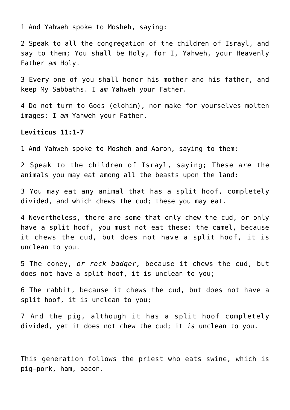1 And Yahweh spoke to Mosheh, saying:

2 Speak to all the congregation of the children of Israyl, and say to them; You shall be Holy, for I, Yahweh, your Heavenly Father *am* Holy.

3 Every one of you shall honor his mother and his father, and keep My Sabbaths. I *am* Yahweh your Father.

4 Do not turn to Gods (elohim), nor make for yourselves molten images: I *am* Yahweh your Father.

#### **Leviticus 11:1-7**

1 And Yahweh spoke to Mosheh and Aaron, saying to them:

2 Speak to the children of Israyl, saying; These *are* the animals you may eat among all the beasts upon the land:

3 You may eat any animal that has a split hoof, completely divided, and which chews the cud; these you may eat.

4 Nevertheless, there are some that only chew the cud, or only have a split hoof, you must not eat these: the camel, because it chews the cud, but does not have a split hoof, it is unclean to you.

5 The coney, *or rock badger,* because it chews the cud, but does not have a split hoof, it is unclean to you;

6 The rabbit, because it chews the cud, but does not have a split hoof, it is unclean to you;

7 And the pig, although it has a split hoof completely divided, yet it does not chew the cud; it *is* unclean to you.

This generation follows the priest who eats swine, which is pig–pork, ham, bacon.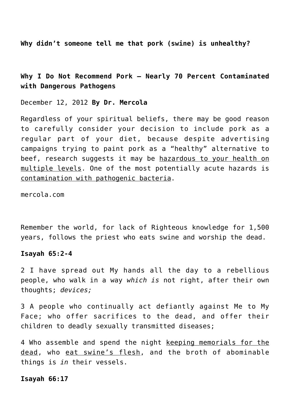**Why didn't someone tell me that pork (swine) is unhealthy?**

**Why I Do Not Recommend Pork – Nearly 70 Percent Contaminated with Dangerous Pathogens**

December 12, 2012 **By Dr. Mercola**

Regardless of your spiritual beliefs, there may be good reason to carefully consider your decision to include pork as a regular part of your diet, because despite advertising campaigns trying to paint pork as a "healthy" alternative to beef, research suggests it may be hazardous to your health on multiple levels. One of the most potentially acute hazards is contamination with pathogenic bacteria.

mercola.com

Remember the world, for lack of Righteous knowledge for 1,500 years, follows the priest who eats swine and worship the dead.

## **Isayah 65:2-4**

2 I have spread out My hands all the day to a rebellious people, who walk in a way *which is* not right, after their own thoughts; *devices;*

3 A people who continually act defiantly against Me to My Face; who offer sacrifices to the dead, and offer their children to deadly sexually transmitted diseases;

4 Who assemble and spend the night keeping memorials for the dead, who eat swine's flesh, and the broth of abominable things is *in* their vessels.

#### **Isayah 66:17**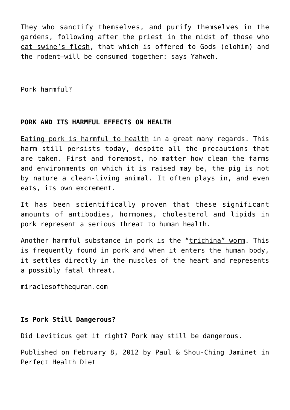They who sanctify themselves, and purify themselves in the gardens, following after the priest in the midst of those who eat swine's flesh, that which is offered to Gods (elohim) and the rodent—will be consumed together: says Yahweh.

Pork harmful?

# **PORK AND ITS HARMFUL EFFECTS ON HEALTH**

Eating pork is harmful to health in a great many regards. This harm still persists today, despite all the precautions that are taken. First and foremost, no matter how clean the farms and environments on which it is raised may be, the pig is not by nature a clean-living animal. It often plays in, and even eats, its own excrement.

It has been scientifically proven that these significant amounts of antibodies, hormones, cholesterol and lipids in pork represent a serious threat to human health.

Another harmful substance in pork is the "trichina" worm. This is frequently found in pork and when it enters the human body, it settles directly in the muscles of the heart and represents a possibly fatal threat.

miraclesofthequran.com

# **Is Pork Still Dangerous?**

Did Leviticus get it right? Pork may still be dangerous.

Published on February 8, 2012 by Paul & Shou-Ching Jaminet in Perfect Health Diet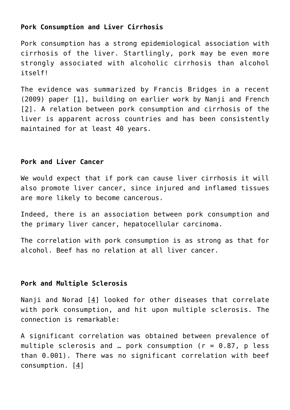# **Pork Consumption and Liver Cirrhosis**

Pork consumption has a strong epidemiological association with cirrhosis of the liver. Startlingly, pork may be even more strongly associated with alcoholic cirrhosis than alcohol itself!

The evidence was summarized by Francis Bridges in a recent (2009) paper [[1\]](http://pmid.us/19826553), building on earlier work by Nanji and French [[2](http://pmid.us/2858627)]. A relation between pork consumption and cirrhosis of the liver is apparent across countries and has been consistently maintained for at least 40 years.

# **Pork and Liver Cancer**

We would expect that if pork can cause liver cirrhosis it will also promote liver cancer, since injured and inflamed tissues are more likely to become cancerous.

Indeed, there is an association between pork consumption and the primary liver cancer, hepatocellular carcinoma.

The correlation with pork consumption is as strong as that for alcohol. Beef has no relation at all liver cancer.

# **Pork and Multiple Sclerosis**

Nanji and Norad [\[4\]](http://pmid.us/3638477) looked for other diseases that correlate with pork consumption, and hit upon multiple sclerosis. The connection is remarkable:

A significant correlation was obtained between prevalence of multiple sclerosis and ... pork consumption ( $r = 0.87$ , p less than 0.001). There was no significant correlation with beef consumption. [4]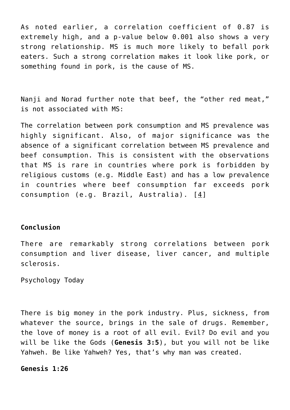As noted earlier, a correlation coefficient of 0.87 is extremely high, and a p-value below 0.001 also shows a very strong relationship. MS is much more likely to befall pork eaters. Such a strong correlation makes it look like pork, or something found in pork, is the cause of MS.

Nanji and Norad further note that beef, the "other red meat," is not associated with MS:

The correlation between pork consumption and MS prevalence was highly significant. Also, of major significance was the absence of a significant correlation between MS prevalence and beef consumption. This is consistent with the observations that MS is rare in countries where pork is forbidden by religious customs (e.g. Middle East) and has a low prevalence in countries where beef consumption far exceeds pork consumption (e.g. Brazil, Australia). [4]

# **Conclusion**

There are remarkably strong correlations between pork consumption and liver disease, liver cancer, and multiple sclerosis.

Psychology Today

There is big money in the pork industry. Plus, sickness, from whatever the source, brings in the sale of drugs. Remember, the love of money is a root of all evil. Evil? Do evil and you will be like the Gods (**Genesis 3:5**), but you will not be like Yahweh. Be like Yahweh? Yes, that's why man was created.

**Genesis 1:26**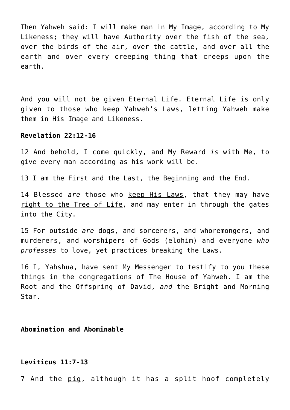Then Yahweh said: I will make man in My Image, according to My Likeness; they will have Authority over the fish of the sea, over the birds of the air, over the cattle, and over all the earth and over every creeping thing that creeps upon the earth.

And you will not be given Eternal Life. Eternal Life is only given to those who keep Yahweh's Laws, letting Yahweh make them in His Image and Likeness.

## **Revelation 22:12-16**

12 And behold, I come quickly, and My Reward *is* with Me, to give every man according as his work will be.

13 I am the First and the Last, the Beginning and the End.

14 Blessed *are* those who keep His Laws, that they may have right to the Tree of Life, and may enter in through the gates into the City.

15 For outside *are* dogs, and sorcerers, and whoremongers, and murderers, and worshipers of Gods (elohim) and everyone *who professes* to love, yet practices breaking the Laws.

16 I, Yahshua, have sent My Messenger to testify to you these things in the congregations of The House of Yahweh. I am the Root and the Offspring of David, *and* the Bright and Morning Star.

# **Abomination and Abominable**

# **Leviticus 11:7-13**

7 And the pig, although it has a split hoof completely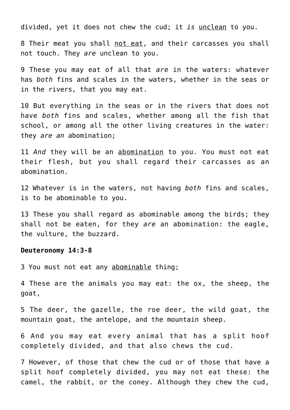divided, yet it does not chew the cud; it *is* unclean to you.

8 Their meat you shall not eat, and their carcasses you shall not touch. They *are* unclean to you.

9 These you may eat of all that *are* in the waters: whatever has *both* fins and scales in the waters, whether in the seas or in the rivers, that you may eat.

10 But everything in the seas or in the rivers that does not have *both* fins and scales, whether among all the fish that school, or among all the other living creatures in the water: they *are an* abomination;

11 *And* they will be an abomination to you. You must not eat their flesh, but you shall regard their carcasses as an abomination.

12 Whatever is in the waters, not having *both* fins and scales, is to be abominable to you.

13 These you shall regard as abominable among the birds; they shall not be eaten, for they *are* an abomination: the eagle, the vulture, the buzzard.

#### **Deuteronomy 14:3-8**

3 You must not eat any abominable thing;

4 These are the animals you may eat: the ox, the sheep, the goat,

5 The deer, the gazelle, the roe deer, the wild goat, the mountain goat, the antelope, and the mountain sheep.

6 And you may eat every animal that has a split hoof completely divided, and that also chews the cud.

7 However, of those that chew the cud or of those that have a split hoof completely divided, you may not eat these: the camel, the rabbit, or the coney. Although they chew the cud,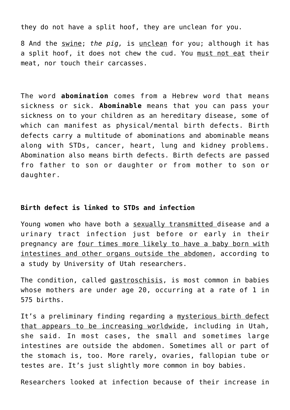they do not have a split hoof, they are unclean for you.

8 And the swine; *the pig,* is unclean for you; although it has a split hoof, it does not chew the cud. You must not eat their meat, nor touch their carcasses.

The word **abomination** comes from a Hebrew word that means sickness or sick. **Abominable** means that you can pass your sickness on to your children as an hereditary disease, some of which can manifest as physical/mental birth defects. Birth defects carry a multitude of abominations and abominable means along with STDs, cancer, heart, lung and kidney problems. Abomination also means birth defects. Birth defects are passed fro father to son or daughter or from mother to son or daughter.

## **Birth defect is linked to STDs and infection**

Young women who have both a sexually transmitted disease and a urinary tract infection just before or early in their pregnancy are four times more likely to have a baby born with intestines and other organs outside the abdomen, according to a study by University of Utah researchers.

The condition, called gastroschisis, is most common in babies whose mothers are under age 20, occurring at a rate of 1 in 575 births.

It's a preliminary finding regarding a mysterious birth defect that appears to be increasing worldwide, including in Utah, she said. In most cases, the small and sometimes large intestines are outside the abdomen. Sometimes all or part of the stomach is, too. More rarely, ovaries, fallopian tube or testes are. It's just slightly more common in boy babies.

Researchers looked at infection because of their increase in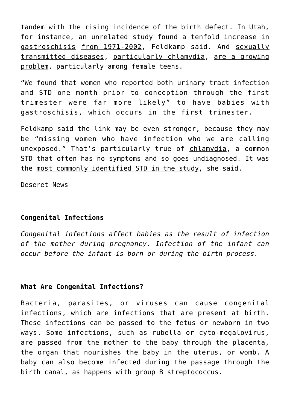tandem with the rising incidence of the birth defect. In Utah, for instance, an unrelated study found a tenfold increase in gastroschisis from 1971-2002, Feldkamp said. And sexually transmitted diseases, particularly chlamydia, are a growing problem, particularly among female teens.

"We found that women who reported both urinary tract infection and STD one month prior to conception through the first trimester were far more likely" to have babies with gastroschisis, which occurs in the first trimester.

Feldkamp said the link may be even stronger, because they may be "missing women who have infection who we are calling unexposed." That's particularly true of chlamydia, a common STD that often has no symptoms and so goes undiagnosed. It was the most commonly identified STD in the study, she said.

Deseret News

# **Congenital Infections**

*Congenital infections affect babies as the result of infection of the mother during pregnancy. Infection of the infant can occur before the infant is born or during the birth process.*

# **What Are Congenital Infections?**

Bacteria, parasites, or viruses can cause congenital infections, which are infections that are present at birth. These infections can be passed to the fetus or newborn in two ways. Some infections, such as rubella or cyto-megalovirus, are passed from the mother to the baby through the placenta, the organ that nourishes the baby in the uterus, or womb. A baby can also become infected during the passage through the birth canal, as happens with group B streptococcus.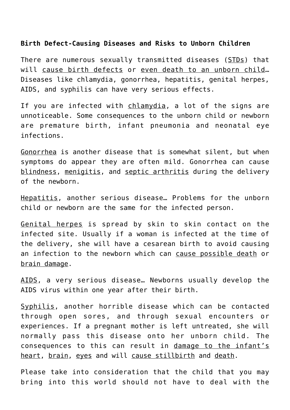# **Birth Defect-Causing Diseases and Risks to Unborn Children**

There are numerous sexually transmitted diseases (STDs) that will cause birth defects or even death to an unborn child… Diseases like chlamydia, gonorrhea, hepatitis, genital herpes, AIDS, and syphilis can have very serious effects.

If you are infected with chlamydia, a lot of the signs are unnoticeable. Some consequences to the unborn child or newborn are premature birth, infant pneumonia and neonatal eye infections.

Gonorrhea is another disease that is somewhat silent, but when symptoms do appear they are often mild. Gonorrhea can cause blindness, menigitis, and septic arthritis during the delivery of the newborn.

Hepatitis, another serious disease… Problems for the unborn child or newborn are the same for the infected person.

Genital herpes is spread by skin to skin contact on the infected site. Usually if a woman is infected at the time of the delivery, she will have a cesarean birth to avoid causing an infection to the newborn which can cause possible death or brain damage.

AIDS, a very serious disease… Newborns usually develop the AIDS virus within one year after their birth.

Syphilis, another horrible disease which can be contacted through open sores, and through sexual encounters or experiences. If a pregnant mother is left untreated, she will normally pass this disease onto her unborn child. The consequences to this can result in damage to the infant's heart, brain, eyes and will cause stillbirth and death.

Please take into consideration that the child that you may bring into this world should not have to deal with the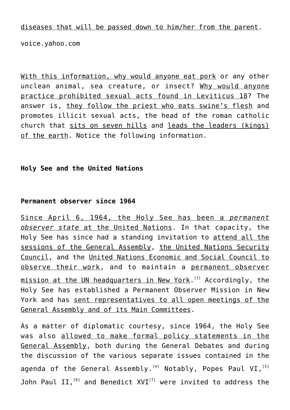diseases that will be passed down to him/her from the parent.

voice.yahoo.com

With this information, why would anyone eat pork or any other unclean animal, sea creature, or insect? Why would anyone practice prohibited sexual acts found in Leviticus 18? The answer is, they follow the priest who eats swine's flesh and promotes illicit sexual acts, the head of the roman catholic church that sits on seven hills and leads the leaders (kings) of the earth. Notice the following information.

## **Holy See and the United Nations**

## **Permanent observer since 1964**

Since April 6, 1964, the Holy See has been a *permanent observer state* at the United Nations. In that capacity, the Holy See has since had a standing invitation to attend all the sessions of the General Assembly, the United Nations Security Council, and the United Nations Economic and Social Council to observe their work, and to maintain a permanent observer <u>mission at the UN headquarters in New York</u>.<sup>[1]</sup> Accordingly, the Holy See has established a Permanent Observer Mission in New York and has sent representatives to all open meetings of the General Assembly and of its Main Committees.

As a matter of diplomatic courtesy, since 1964, the Holy See was also allowed to make formal policy statements in the General Assembly, both during the General Debates and during the discussion of the various separate issues contained in the agenda of the General Assembly.<sup>[4]</sup> Notably, Popes Paul VI,  $[5]$ John Paul II,  $^{[6]}$  and Benedict XVI $^{[7]}$  were invited to address the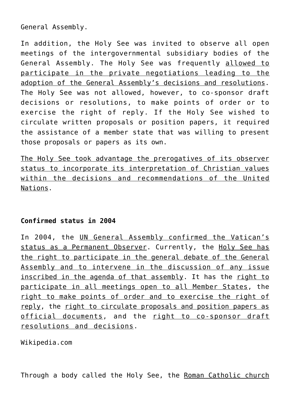General Assembly.

In addition, the Holy See was invited to observe all open meetings of the intergovernmental subsidiary bodies of the General Assembly. The Holy See was frequently allowed to participate in the private negotiations leading to the adoption of the General Assembly's decisions and resolutions. The Holy See was not allowed, however, to co-sponsor draft decisions or resolutions, to make points of order or to exercise the right of reply. If the Holy See wished to circulate written proposals or position papers, it required the assistance of a member state that was willing to present those proposals or papers as its own.

The Holy See took advantage the prerogatives of its observer status to incorporate its interpretation of Christian values within the decisions and recommendations of the United Nations.

# **Confirmed status in 2004**

In 2004, the UN General Assembly confirmed the Vatican's status as a Permanent Observer. Currently, the Holy See has the right to participate in the general debate of the General Assembly and to intervene in the discussion of any issue inscribed in the agenda of that assembly. It has the right to participate in all meetings open to all Member States, the right to make points of order and to exercise the right of reply, the right to circulate proposals and position papers as official documents, and the right to co-sponsor draft resolutions and decisions.

Wikipedia.com

Through a body called the Holy See, the Roman Catholic church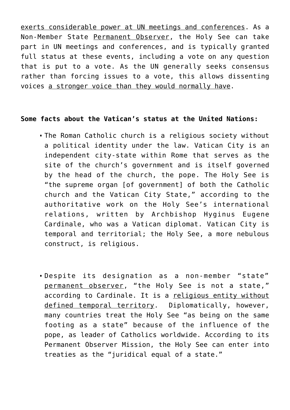exerts considerable power at UN meetings and conferences. As a Non-Member State Permanent Observer, the Holy See can take part in UN meetings and conferences, and is typically granted full status at these events, including a vote on any question that is put to a vote. As the UN generally seeks consensus rather than forcing issues to a vote, this allows dissenting voices a stronger voice than they would normally have.

## **Some facts about the Vatican's status at the United Nations:**

- The Roman Catholic church is a religious society without a political identity under the law. Vatican City is an independent city-state within Rome that serves as the site of the church's government and is itself governed by the head of the church, the pope. The Holy See is "the supreme organ [of government] of both the Catholic church and the Vatican City State," according to the authoritative work on the Holy See's international relations, written by Archbishop Hyginus Eugene Cardinale, who was a Vatican diplomat. Vatican City is temporal and territorial; the Holy See, a more nebulous construct, is religious.
- Despite its designation as a non-member "state" permanent observer, "the Holy See is not a state," according to Cardinale. It is a religious entity without defined temporal territory. Diplomatically, however, many countries treat the Holy See "as being on the same footing as a state" because of the influence of the pope, as leader of Catholics worldwide. According to its Permanent Observer Mission, the Holy See can enter into treaties as the "juridical equal of a state."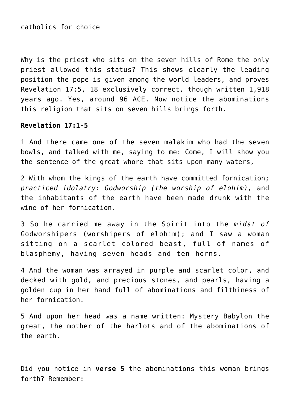catholics for choice

Why is the priest who sits on the seven hills of Rome the only priest allowed this status? This shows clearly the leading position the pope is given among the world leaders, and proves Revelation 17:5, 18 exclusively correct, though written 1,918 years ago. Yes, around 96 ACE. Now notice the abominations this religion that sits on seven hills brings forth.

## **Revelation 17:1-5**

1 And there came one of the seven malakim who had the seven bowls, and talked with me, saying to me: Come, I will show you the sentence of the great whore that sits upon many waters,

2 With whom the kings of the earth have committed fornication; *practiced idolatry: Godworship (the worship of elohim),* and the inhabitants of the earth have been made drunk with the wine of her fornication.

3 So he carried me away in the Spirit into the *midst of* Godworshipers (worshipers of elohim); and I saw a woman sitting on a scarlet colored beast, full of names of blasphemy, having seven heads and ten horns.

4 And the woman was arrayed in purple and scarlet color, and decked with gold, and precious stones, and pearls, having a golden cup in her hand full of abominations and filthiness of her fornication.

5 And upon her head *was* a name written: Mystery Babylon the great, the mother of the harlots and of the abominations of the earth.

Did you notice in **verse 5** the abominations this woman brings forth? Remember: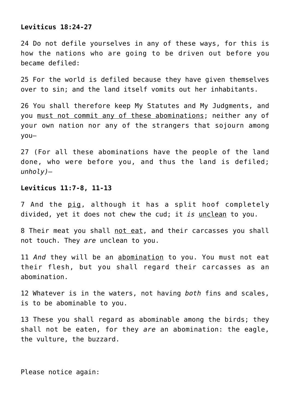## **Leviticus 18:24-27**

24 Do not defile yourselves in any of these ways, for this is how the nations who are going to be driven out before you became defiled:

25 For the world is defiled because they have given themselves over to sin; and the land itself vomits out her inhabitants.

26 You shall therefore keep My Statutes and My Judgments, and you must not commit any of these abominations; neither any of your own nation nor any of the strangers that sojourn among you—

27 (For all these abominations have the people of the land done, who were before you, and thus the land is defiled; *unholy)—*

#### **Leviticus 11:7-8, 11-13**

7 And the pig, although it has a split hoof completely divided, yet it does not chew the cud; it *is* unclean to you.

8 Their meat you shall not eat, and their carcasses you shall not touch. They *are* unclean to you.

11 *And* they will be an abomination to you. You must not eat their flesh, but you shall regard their carcasses as an abomination.

12 Whatever is in the waters, not having *both* fins and scales, is to be abominable to you.

13 These you shall regard as abominable among the birds; they shall not be eaten, for they *are* an abomination: the eagle, the vulture, the buzzard.

Please notice again: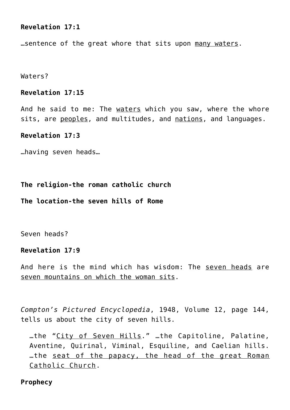# **Revelation 17:1**

…sentence of the great whore that sits upon many waters.

Waters?

## **Revelation 17:15**

And he said to me: The waters which you saw, where the whore sits, are peoples, and multitudes, and nations, and languages.

## **Revelation 17:3**

…having seven heads…

**The religion-the roman catholic church**

**The location-the seven hills of Rome**

Seven heads?

## **Revelation 17:9**

And here is the mind which has wisdom: The seven heads are seven mountains on which the woman sits.

*Compton's Pictured Encyclopedia*, 1948, Volume 12, page 144, tells us about the city of seven hills.

…the "City of Seven Hills." …the Capitoline, Palatine, Aventine, Quirinal, Viminal, Esquiline, and Caelian hills. …the seat of the papacy, the head of the great Roman Catholic Church.

## **Prophecy**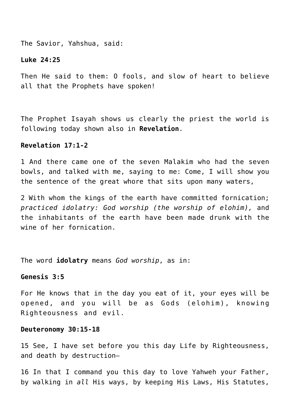The Savior, Yahshua, said:

## **Luke 24:25**

Then He said to them: O fools, and slow of heart to believe all that the Prophets have spoken!

The Prophet Isayah shows us clearly the priest the world is following today shown also in **Revelation**.

## **Revelation 17:1-2**

1 And there came one of the seven Malakim who had the seven bowls, and talked with me, saying to me: Come, I will show you the sentence of the great whore that sits upon many waters,

2 With whom the kings of the earth have committed fornication; *practiced idolatry: God worship (the worship of elohim),* and the inhabitants of the earth have been made drunk with the wine of her fornication.

The word **idolatry** means *God worship*, as in:

## **Genesis 3:5**

For He knows that in the day you eat of it, your eyes will be opened, and you will be as Gods (elohim), knowing Righteousness and evil.

#### **Deuteronomy 30:15-18**

15 See, I have set before you this day Life by Righteousness, and death by destruction—

16 In that I command you this day to love Yahweh your Father, by walking in *all* His ways, by keeping His Laws, His Statutes,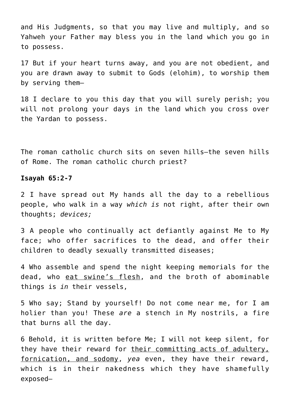and His Judgments, so that you may live and multiply, and so Yahweh your Father may bless you in the land which you go in to possess.

17 But if your heart turns away, and you are not obedient, and you are drawn away to submit to Gods (elohim), to worship them by serving them—

18 I declare to you this day that you will surely perish; you will not prolong your days in the land which you cross over the Yardan to possess.

The roman catholic church sits on seven hills–the seven hills of Rome. The roman catholic church priest?

#### **Isayah 65:2-7**

2 I have spread out My hands all the day to a rebellious people, who walk in a way *which is* not right, after their own thoughts; *devices;*

3 A people who continually act defiantly against Me to My face; who offer sacrifices to the dead, and offer their children to deadly sexually transmitted diseases;

4 Who assemble and spend the night keeping memorials for the dead, who eat swine's flesh, and the broth of abominable things is *in* their vessels,

5 Who say; Stand by yourself! Do not come near me, for I am holier than you! These *are* a stench in My nostrils, a fire that burns all the day.

6 Behold, it is written before Me; I will not keep silent, for they have their reward for their committing acts of adultery, fornication, and sodomy, *yea* even, they have their reward, which is in their nakedness which they have shamefully exposed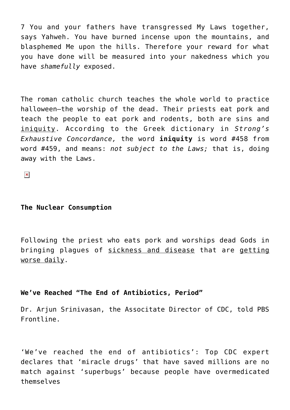7 You and your fathers have transgressed My Laws together, says Yahweh. You have burned incense upon the mountains, and blasphemed Me upon the hills. Therefore your reward for what you have done will be measured into your nakedness which you have *shamefully* exposed.

The roman catholic church teaches the whole world to practice halloween–the worship of the dead. Their priests eat pork and teach the people to eat pork and rodents, both are sins and iniquity. According to the Greek dictionary in *Strong's Exhaustive Concordance,* the word **iniquity** is word #458 from word #459, and means: *not subject to the Laws;* that is, doing away with the Laws.

 $\pmb{\times}$ 

## **The Nuclear Consumption**

Following the priest who eats pork and worships dead Gods in bringing plagues of sickness and disease that are getting worse daily.

# **We've Reached "The End of Antibiotics, Period"**

Dr. Arjun Srinivasan, the Associtate Director of CDC, told PBS Frontline.

'We've reached the end of antibiotics': Top CDC expert declares that 'miracle drugs' that have saved millions are no match against 'superbugs' because people have overmedicated themselves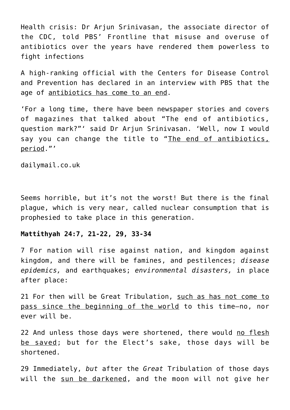Health crisis: Dr Arjun Srinivasan, the associate director of the CDC, told PBS' Frontline that misuse and overuse of antibiotics over the years have rendered them powerless to fight infections

A high-ranking official with the Centers for Disease Control and Prevention has declared in an interview with PBS that the age of antibiotics has come to an end.

'For a long time, there have been newspaper stories and covers of magazines that talked about "The end of antibiotics, question mark?"' said Dr Arjun Srinivasan. 'Well, now I would say you can change the title to "The end of antibiotics, period."'

dailymail.co.uk

Seems horrible, but it's not the worst! But there is the final plague, which is very near, called nuclear consumption that is prophesied to take place in this generation.

# **Mattithyah 24:7, 21-22, 29, 33-34**

7 For nation will rise against nation, and kingdom against kingdom, and there will be famines, and pestilences; *disease epidemics,* and earthquakes; *environmental disasters,* in place after place:

21 For then will be Great Tribulation, such as has not come to pass since the beginning of the world to this time—no, nor ever will be.

22 And unless those days were shortened, there would no flesh be saved; but for the Elect's sake, those days will be shortened.

29 Immediately, *but* after the *Great* Tribulation of those days will the sun be darkened, and the moon will not give her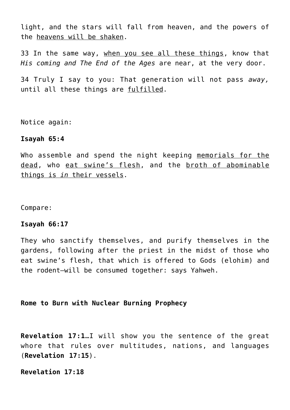light, and the stars will fall from heaven, and the powers of the heavens will be shaken.

33 In the same way, when you see all these things, know that *His coming and The End of the Ages* are near, at the very door.

34 Truly I say to you: That generation will not pass *away,* until all these things are fulfilled.

Notice again:

#### **Isayah 65:4**

Who assemble and spend the night keeping memorials for the dead, who eat swine's flesh, and the broth of abominable things is *in* their vessels.

Compare:

## **Isayah 66:17**

They who sanctify themselves, and purify themselves in the gardens, following after the priest in the midst of those who eat swine's flesh, that which is offered to Gods (elohim) and the rodent—will be consumed together: says Yahweh.

# **Rome to Burn with Nuclear Burning Prophecy**

**Revelation 17:1**…I will show you the sentence of the great whore that rules over multitudes, nations, and languages (**Revelation 17:15**).

**Revelation 17:18**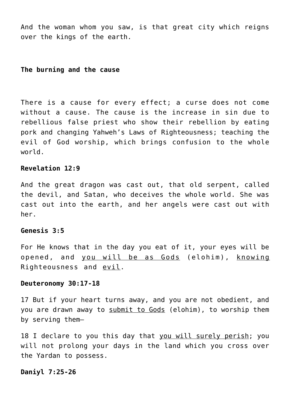And the woman whom you saw, is that great city which reigns over the kings of the earth.

# **The burning and the cause**

There is a cause for every effect; a curse does not come without a cause. The cause is the increase in sin due to rebellious false priest who show their rebellion by eating pork and changing Yahweh's Laws of Righteousness; teaching the evil of God worship, which brings confusion to the whole world.

#### **Revelation 12:9**

And the great dragon was cast out, that old serpent, called the devil, and Satan, who deceives the whole world. She was cast out into the earth, and her angels were cast out with her.

#### **Genesis 3:5**

For He knows that in the day you eat of it, your eyes will be opened, and you will be as Gods (elohim), knowing Righteousness and evil.

## **Deuteronomy 30:17-18**

17 But if your heart turns away, and you are not obedient, and you are drawn away to submit to Gods (elohim), to worship them by serving them—

18 I declare to you this day that you will surely perish; you will not prolong your days in the land which you cross over the Yardan to possess.

# **Daniyl 7:25-26**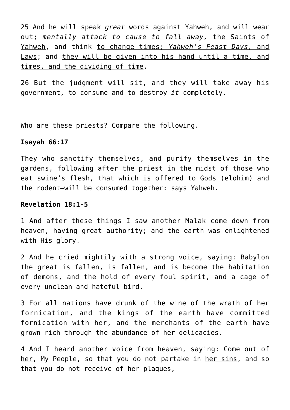25 And he will speak *great* words against Yahweh, and will wear out; *mentally attack to cause to fall away,* the Saints of Yahweh, and think to change times; *Yahweh's Feast Days,* and Laws; and they will be given into his hand until a time, and times, and the dividing of time.

26 But the judgment will sit, and they will take away his government, to consume and to destroy *it* completely.

Who are these priests? Compare the following.

# **Isayah 66:17**

They who sanctify themselves, and purify themselves in the gardens, following after the priest in the midst of those who eat swine's flesh, that which is offered to Gods (elohim) and the rodent—will be consumed together: says Yahweh.

## **Revelation 18:1-5**

1 And after these things I saw another Malak come down from heaven, having great authority; and the earth was enlightened with His glory.

2 And he cried mightily with a strong voice, saying: Babylon the great is fallen, is fallen, and is become the habitation of demons, and the hold of every foul spirit, and a cage of every unclean and hateful bird.

3 For all nations have drunk of the wine of the wrath of her fornication, and the kings of the earth have committed fornication with her, and the merchants of the earth have grown rich through the abundance of her delicacies.

4 And I heard another voice from heaven, saying: Come out of her, My People, so that you do not partake in her sins, and so that you do not receive of her plagues,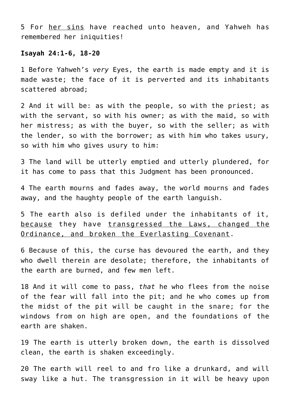5 For her sins have reached unto heaven, and Yahweh has remembered her iniquities!

#### **Isayah 24:1-6, 18-20**

1 Before Yahweh's *very* Eyes, the earth is made empty and it is made waste; the face of it is perverted and its inhabitants scattered abroad;

2 And it will be: as with the people, so with the priest; as with the servant, so with his owner; as with the maid, so with her mistress; as with the buyer, so with the seller; as with the lender, so with the borrower; as with him who takes usury, so with him who gives usury to him:

3 The land will be utterly emptied and utterly plundered, for it has come to pass that this Judgment has been pronounced.

4 The earth mourns and fades away, the world mourns and fades away, and the haughty people of the earth languish.

5 The earth also is defiled under the inhabitants of it, because they have transgressed the Laws, changed the Ordinance, and broken the Everlasting Covenant.

6 Because of this, the curse has devoured the earth, and they who dwell therein are desolate; therefore, the inhabitants of the earth are burned, and few men left.

18 And it will come to pass, *that* he who flees from the noise of the fear will fall into the pit; and he who comes up from the midst of the pit will be caught in the snare; for the windows from on high are open, and the foundations of the earth are shaken.

19 The earth is utterly broken down, the earth is dissolved clean, the earth is shaken exceedingly.

20 The earth will reel to and fro like a drunkard, and will sway like a hut. The transgression in it will be heavy upon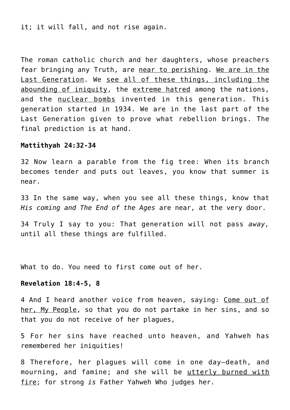it; it will fall, and not rise again.

The roman catholic church and her daughters, whose preachers fear bringing any Truth, are near to perishing. We are in the Last Generation. We see all of these things, including the abounding of iniquity, the extreme hatred among the nations, and the nuclear bombs invented in this generation. This generation started in 1934. We are in the last part of the Last Generation given to prove what rebellion brings. The final prediction is at hand.

#### **Mattithyah 24:32-34**

32 Now learn a parable from the fig tree: When its branch becomes tender and puts out leaves, you know that summer is near.

33 In the same way, when you see all these things, know that *His coming and The End of the Ages* are near, at the very door.

34 Truly I say to you: That generation will not pass *away,* until all these things are fulfilled.

What to do. You need to first come out of her.

## **Revelation 18:4-5, 8**

4 And I heard another voice from heaven, saying: Come out of her, My People, so that you do not partake in her sins, and so that you do not receive of her plagues,

5 For her sins have reached unto heaven, and Yahweh has remembered her iniquities!

8 Therefore, her plagues will come in one day—death, and mourning, and famine; and she will be utterly burned with fire; for strong *is* Father Yahweh Who judges her.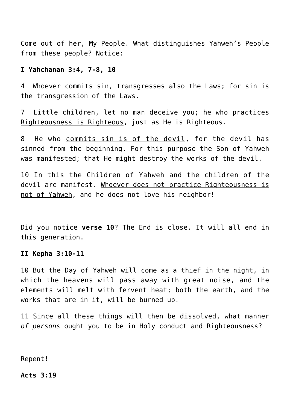Come out of her, My People. What distinguishes Yahweh's People from these people? Notice:

# **I Yahchanan 3:4, 7-8, 10**

4 Whoever commits sin, transgresses also the Laws; for sin is the transgression of the Laws.

7 Little children, let no man deceive you; he who practices Righteousness is Righteous, just as He is Righteous.

8 He who commits sin is of the devil, for the devil has sinned from the beginning. For this purpose the Son of Yahweh was manifested; that He might destroy the works of the devil.

10 In this the Children of Yahweh and the children of the devil are manifest. Whoever does not practice Righteousness is not of Yahweh, and he does not love his neighbor!

Did you notice **verse 10**? The End is close. It will all end in this generation.

## **II Kepha 3:10-11**

10 But the Day of Yahweh will come as a thief in the night, in which the heavens will pass away with great noise, and the elements will melt with fervent heat; both the earth, and the works that are in it, will be burned up.

11 Since all these things will then be dissolved, what manner *of persons* ought you to be in Holy conduct and Righteousness?

Repent!

## **Acts 3:19**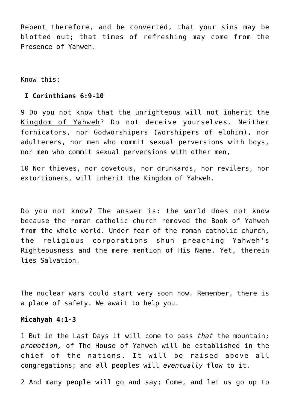Repent therefore, and be converted, that your sins may be blotted out; that times of refreshing may come from the Presence of Yahweh.

Know this:

## **I Corinthians 6:9-10**

9 Do you not know that the unrighteous will not inherit the Kingdom of Yahweh? Do not deceive yourselves. Neither fornicators, nor Godworshipers (worshipers of elohim), nor adulterers, nor men who commit sexual perversions with boys, nor men who commit sexual perversions with other men,

10 Nor thieves, nor covetous, nor drunkards, nor revilers, nor extortioners, will inherit the Kingdom of Yahweh.

Do you not know? The answer is: the world does not know because the roman catholic church removed the Book of Yahweh from the whole world. Under fear of the roman catholic church, the religious corporations shun preaching Yahweh's Righteousness and the mere mention of His Name. Yet, therein lies Salvation.

The nuclear wars could start very soon now. Remember, there is a place of safety. We await to help you.

# **Micahyah 4:1-3**

1 But in the Last Days it will come to pass *that* the mountain; *promotion,* of The House of Yahweh will be established in the chief of the nations. It will be raised above all congregations; and all peoples will *eventually* flow to it.

2 And many people will go and say; Come, and let us go up to